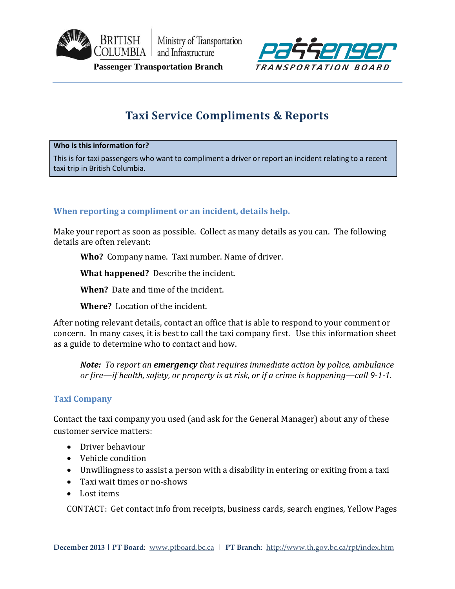

Ministry of Transportation COLUMBIA and Infrastructure



 **Passenger Transportation Branch** 

# **Taxi Service Compliments & Reports**

#### **Who is this information for?**

This is for taxi passengers who want to compliment a driver or report an incident relating to a recent taxi trip in British Columbia.

### **When reporting a compliment or an incident, details help.**

Make your report as soon as possible. Collect as many details as you can. The following details are often relevant:

**Who?** Company name. Taxi number. Name of driver.

**What happened?** Describe the incident.

**When?** Date and time of the incident.

**Where?** Location of the incident.

After noting relevant details, contact an office that is able to respond to your comment or concern. In many cases, it is best to call the taxi company first. Use this information sheet as a guide to determine who to contact and how.

*Note: To report an emergency that requires immediate action by police, ambulance or fire—if health, safety, or property is at risk, or if a crime is happening—call 9-1-1.*

### **Taxi Company**

Contact the taxi company you used (and ask for the General Manager) about any of these customer service matters:

- Driver behaviour
- Vehicle condition
- Unwillingness to assist a person with a disability in entering or exiting from a taxi
- Taxi wait times or no-shows
- Lost items

CONTACT: Get contact info from receipts, business cards, search engines, Yellow Pages